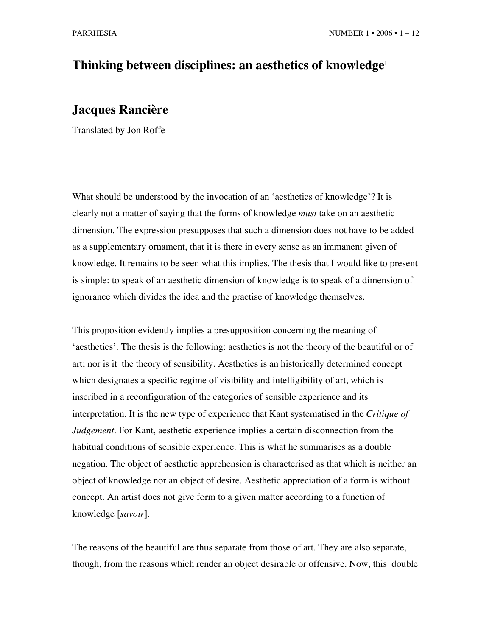## **Thinking between disciplines: an aesthetics of knowledge**<sup>1</sup>

## **Jacques Rancière**

Translated by Jon Roffe

What should be understood by the invocation of an 'aesthetics of knowledge'? It is clearly not a matter of saying that the forms of knowledge *must* take on an aesthetic dimension. The expression presupposes that such a dimension does not have to be added as a supplementary ornament, that it is there in every sense as an immanent given of knowledge. It remains to be seen what this implies. The thesis that I would like to present is simple: to speak of an aesthetic dimension of knowledge is to speak of a dimension of ignorance which divides the idea and the practise of knowledge themselves.

This proposition evidently implies a presupposition concerning the meaning of 'aesthetics'. The thesis is the following: aesthetics is not the theory of the beautiful or of art; nor is it the theory of sensibility. Aesthetics is an historically determined concept which designates a specific regime of visibility and intelligibility of art, which is inscribed in a reconfiguration of the categories of sensible experience and its interpretation. It is the new type of experience that Kant systematised in the *Critique of Judgement*. For Kant, aesthetic experience implies a certain disconnection from the habitual conditions of sensible experience. This is what he summarises as a double negation. The object of aesthetic apprehension is characterised as that which is neither an object of knowledge nor an object of desire. Aesthetic appreciation of a form is without concept. An artist does not give form to a given matter according to a function of knowledge [*savoir*].

The reasons of the beautiful are thus separate from those of art. They are also separate, though, from the reasons which render an object desirable or offensive. Now, this double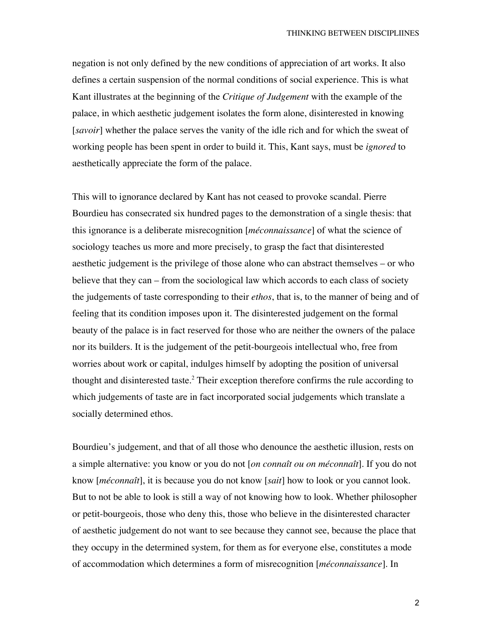negation is not only defined by the new conditions of appreciation of art works. It also defines a certain suspension of the normal conditions of social experience. This is what Kant illustrates at the beginning of the *Critique of Judgement* with the example of the palace, in which aesthetic judgement isolates the form alone, disinterested in knowing [*savoir*] whether the palace serves the vanity of the idle rich and for which the sweat of working people has been spent in order to build it. This, Kant says, must be *ignored* to aesthetically appreciate the form of the palace.

This will to ignorance declared by Kant has not ceased to provoke scandal. Pierre Bourdieu has consecrated six hundred pages to the demonstration of a single thesis: that this ignorance is a deliberate misrecognition [*méconnaissance*] of what the science of sociology teaches us more and more precisely, to grasp the fact that disinterested aesthetic judgement is the privilege of those alone who can abstract themselves – or who believe that they can – from the sociological law which accords to each class of society the judgements of taste corresponding to their *ethos*, that is, to the manner of being and of feeling that its condition imposes upon it. The disinterested judgement on the formal beauty of the palace is in fact reserved for those who are neither the owners of the palace nor its builders. It is the judgement of the petit-bourgeois intellectual who, free from worries about work or capital, indulges himself by adopting the position of universal thought and disinterested taste.<sup>2</sup> Their exception therefore confirms the rule according to which judgements of taste are in fact incorporated social judgements which translate a socially determined ethos.

Bourdieu's judgement, and that of all those who denounce the aesthetic illusion, rests on a simple alternative: you know or you do not [*on connaît ou on méconnaît*]. If you do not know [*méconnaît*], it is because you do not know [*sait*] how to look or you cannot look. But to not be able to look is still a way of not knowing how to look. Whether philosopher or petit-bourgeois, those who deny this, those who believe in the disinterested character of aesthetic judgement do not want to see because they cannot see, because the place that they occupy in the determined system, for them as for everyone else, constitutes a mode of accommodation which determines a form of misrecognition [*méconnaissance*]. In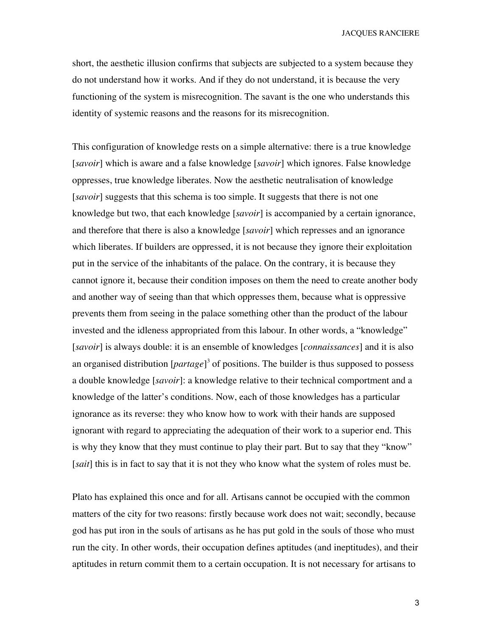short, the aesthetic illusion confirms that subjects are subjected to a system because they do not understand how it works. And if they do not understand, it is because the very functioning of the system is misrecognition. The savant is the one who understands this identity of systemic reasons and the reasons for its misrecognition.

This configuration of knowledge rests on a simple alternative: there is a true knowledge [*savoir*] which is aware and a false knowledge [*savoir*] which ignores. False knowledge oppresses, true knowledge liberates. Now the aesthetic neutralisation of knowledge [*savoir*] suggests that this schema is too simple. It suggests that there is not one knowledge but two, that each knowledge [*savoir*] is accompanied by a certain ignorance, and therefore that there is also a knowledge [*savoir*] which represses and an ignorance which liberates. If builders are oppressed, it is not because they ignore their exploitation put in the service of the inhabitants of the palace. On the contrary, it is because they cannot ignore it, because their condition imposes on them the need to create another body and another way of seeing than that which oppresses them, because what is oppressive prevents them from seeing in the palace something other than the product of the labour invested and the idleness appropriated from this labour. In other words, a "knowledge" [*savoir*] is always double: it is an ensemble of knowledges [*connaissances*] and it is also an organised distribution [*partage*]<sup>3</sup> of positions. The builder is thus supposed to possess a double knowledge [*savoir*]: a knowledge relative to their technical comportment and a knowledge of the latter's conditions. Now, each of those knowledges has a particular ignorance as its reverse: they who know how to work with their hands are supposed ignorant with regard to appreciating the adequation of their work to a superior end. This is why they know that they must continue to play their part. But to say that they "know" [*sait*] this is in fact to say that it is not they who know what the system of roles must be.

Plato has explained this once and for all. Artisans cannot be occupied with the common matters of the city for two reasons: firstly because work does not wait; secondly, because god has put iron in the souls of artisans as he has put gold in the souls of those who must run the city. In other words, their occupation defines aptitudes (and ineptitudes), and their aptitudes in return commit them to a certain occupation. It is not necessary for artisans to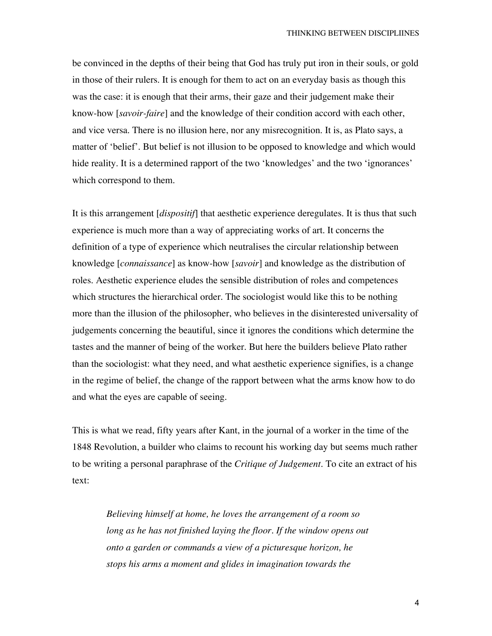be convinced in the depths of their being that God has truly put iron in their souls, or gold in those of their rulers. It is enough for them to act on an everyday basis as though this was the case: it is enough that their arms, their gaze and their judgement make their know-how [*savoir-faire*] and the knowledge of their condition accord with each other, and vice versa. There is no illusion here, nor any misrecognition. It is, as Plato says, a matter of 'belief'. But belief is not illusion to be opposed to knowledge and which would hide reality. It is a determined rapport of the two 'knowledges' and the two 'ignorances' which correspond to them.

It is this arrangement [*dispositif*] that aesthetic experience deregulates. It is thus that such experience is much more than a way of appreciating works of art. It concerns the definition of a type of experience which neutralises the circular relationship between knowledge [*connaissance*] as know-how [*savoir*] and knowledge as the distribution of roles. Aesthetic experience eludes the sensible distribution of roles and competences which structures the hierarchical order. The sociologist would like this to be nothing more than the illusion of the philosopher, who believes in the disinterested universality of judgements concerning the beautiful, since it ignores the conditions which determine the tastes and the manner of being of the worker. But here the builders believe Plato rather than the sociologist: what they need, and what aesthetic experience signifies, is a change in the regime of belief, the change of the rapport between what the arms know how to do and what the eyes are capable of seeing.

This is what we read, fifty years after Kant, in the journal of a worker in the time of the 1848 Revolution, a builder who claims to recount his working day but seems much rather to be writing a personal paraphrase of the *Critique of Judgement*. To cite an extract of his text:

*Believing himself at home, he loves the arrangement of a room so long as he has not finished laying the floor. If the window opens out onto a garden or commands a view of a picturesque horizon, he stops his arms a moment and glides in imagination towards the*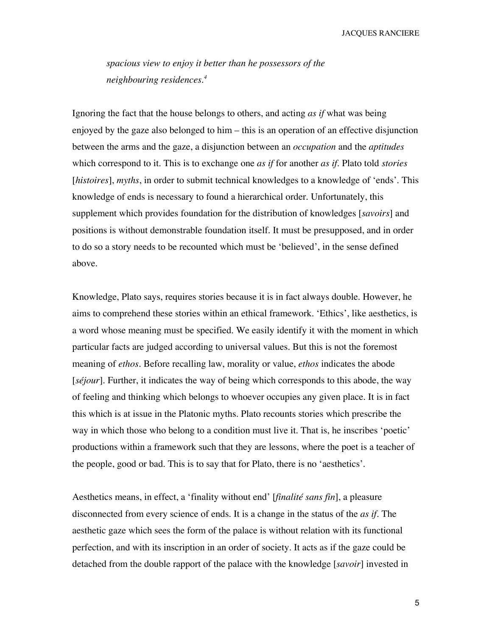*spacious view to enjoy it better than he possessors of the neighbouring residences.<sup>4</sup>*

Ignoring the fact that the house belongs to others, and acting *as if* what was being enjoyed by the gaze also belonged to him – this is an operation of an effective disjunction between the arms and the gaze, a disjunction between an *occupation* and the *aptitudes* which correspond to it. This is to exchange one *as if* for another *as if*. Plato told *stories* [*histoires*], *myths*, in order to submit technical knowledges to a knowledge of 'ends'. This knowledge of ends is necessary to found a hierarchical order. Unfortunately, this supplement which provides foundation for the distribution of knowledges [*savoirs*] and positions is without demonstrable foundation itself. It must be presupposed, and in order to do so a story needs to be recounted which must be 'believed', in the sense defined above.

Knowledge, Plato says, requires stories because it is in fact always double. However, he aims to comprehend these stories within an ethical framework. 'Ethics', like aesthetics, is a word whose meaning must be specified. We easily identify it with the moment in which particular facts are judged according to universal values. But this is not the foremost meaning of *ethos*. Before recalling law, morality or value, *ethos* indicates the abode [*séjour*]. Further, it indicates the way of being which corresponds to this abode, the way of feeling and thinking which belongs to whoever occupies any given place. It is in fact this which is at issue in the Platonic myths. Plato recounts stories which prescribe the way in which those who belong to a condition must live it. That is, he inscribes 'poetic' productions within a framework such that they are lessons, where the poet is a teacher of the people, good or bad. This is to say that for Plato, there is no 'aesthetics'.

Aesthetics means, in effect, a 'finality without end' [*finalité sans fin*], a pleasure disconnected from every science of ends. It is a change in the status of the *as if*. The aesthetic gaze which sees the form of the palace is without relation with its functional perfection, and with its inscription in an order of society. It acts as if the gaze could be detached from the double rapport of the palace with the knowledge [*savoir*] invested in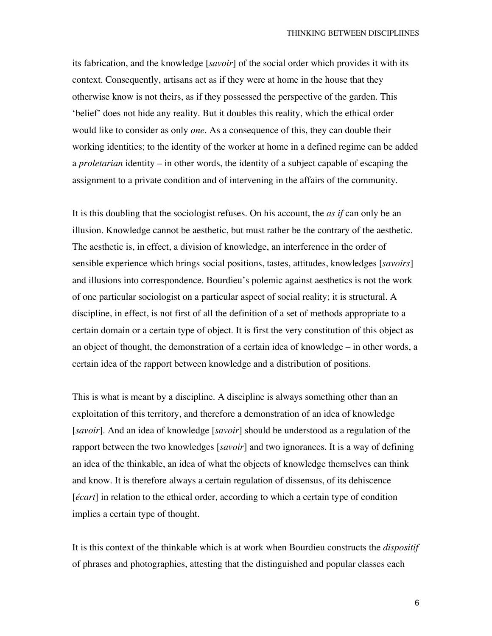its fabrication, and the knowledge [*savoir*] of the social order which provides it with its context. Consequently, artisans act as if they were at home in the house that they otherwise know is not theirs, as if they possessed the perspective of the garden. This 'belief' does not hide any reality. But it doubles this reality, which the ethical order would like to consider as only *one.* As a consequence of this, they can double their working identities; to the identity of the worker at home in a defined regime can be added a *proletarian* identity – in other words, the identity of a subject capable of escaping the assignment to a private condition and of intervening in the affairs of the community.

It is this doubling that the sociologist refuses. On his account, the *as if* can only be an illusion. Knowledge cannot be aesthetic, but must rather be the contrary of the aesthetic. The aesthetic is, in effect, a division of knowledge, an interference in the order of sensible experience which brings social positions, tastes, attitudes, knowledges [*savoirs*] and illusions into correspondence. Bourdieu's polemic against aesthetics is not the work of one particular sociologist on a particular aspect of social reality; it is structural. A discipline, in effect, is not first of all the definition of a set of methods appropriate to a certain domain or a certain type of object. It is first the very constitution of this object as an object of thought, the demonstration of a certain idea of knowledge – in other words, a certain idea of the rapport between knowledge and a distribution of positions.

This is what is meant by a discipline. A discipline is always something other than an exploitation of this territory, and therefore a demonstration of an idea of knowledge [*savoir*]. And an idea of knowledge [*savoir*] should be understood as a regulation of the rapport between the two knowledges [*savoir*] and two ignorances. It is a way of defining an idea of the thinkable, an idea of what the objects of knowledge themselves can think and know. It is therefore always a certain regulation of dissensus, of its dehiscence [*écart*] in relation to the ethical order, according to which a certain type of condition implies a certain type of thought.

It is this context of the thinkable which is at work when Bourdieu constructs the *dispositif* of phrases and photographies, attesting that the distinguished and popular classes each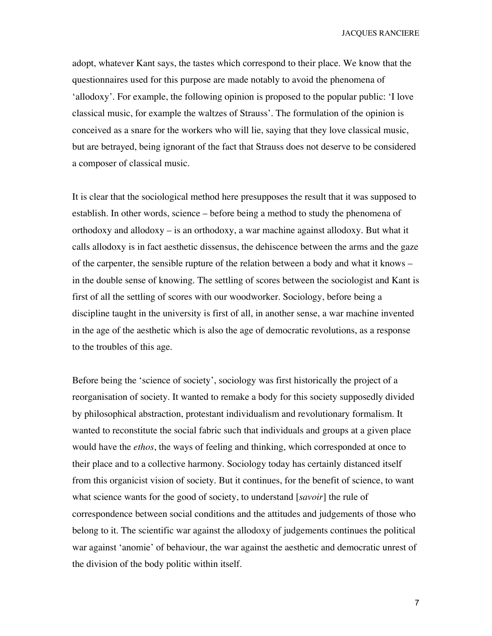adopt, whatever Kant says, the tastes which correspond to their place. We know that the questionnaires used for this purpose are made notably to avoid the phenomena of 'allodoxy'. For example, the following opinion is proposed to the popular public: 'I love classical music, for example the waltzes of Strauss'. The formulation of the opinion is conceived as a snare for the workers who will lie, saying that they love classical music, but are betrayed, being ignorant of the fact that Strauss does not deserve to be considered a composer of classical music.

It is clear that the sociological method here presupposes the result that it was supposed to establish. In other words, science – before being a method to study the phenomena of orthodoxy and allodoxy – is an orthodoxy, a war machine against allodoxy. But what it calls allodoxy is in fact aesthetic dissensus, the dehiscence between the arms and the gaze of the carpenter, the sensible rupture of the relation between a body and what it knows – in the double sense of knowing. The settling of scores between the sociologist and Kant is first of all the settling of scores with our woodworker. Sociology, before being a discipline taught in the university is first of all, in another sense, a war machine invented in the age of the aesthetic which is also the age of democratic revolutions, as a response to the troubles of this age.

Before being the 'science of society', sociology was first historically the project of a reorganisation of society. It wanted to remake a body for this society supposedly divided by philosophical abstraction, protestant individualism and revolutionary formalism. It wanted to reconstitute the social fabric such that individuals and groups at a given place would have the *ethos*, the ways of feeling and thinking, which corresponded at once to their place and to a collective harmony. Sociology today has certainly distanced itself from this organicist vision of society. But it continues, for the benefit of science, to want what science wants for the good of society, to understand [*savoir*] the rule of correspondence between social conditions and the attitudes and judgements of those who belong to it. The scientific war against the allodoxy of judgements continues the political war against 'anomie' of behaviour, the war against the aesthetic and democratic unrest of the division of the body politic within itself.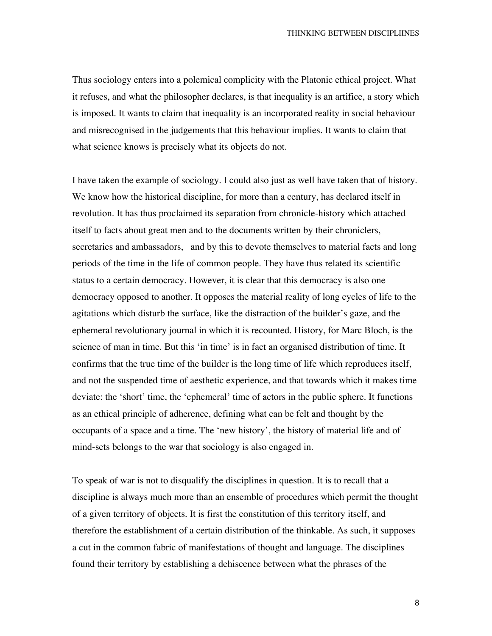Thus sociology enters into a polemical complicity with the Platonic ethical project. What it refuses, and what the philosopher declares, is that inequality is an artifice, a story which is imposed. It wants to claim that inequality is an incorporated reality in social behaviour and misrecognised in the judgements that this behaviour implies. It wants to claim that what science knows is precisely what its objects do not.

I have taken the example of sociology. I could also just as well have taken that of history. We know how the historical discipline, for more than a century, has declared itself in revolution. It has thus proclaimed its separation from chronicle-history which attached itself to facts about great men and to the documents written by their chroniclers, secretaries and ambassadors, and by this to devote themselves to material facts and long periods of the time in the life of common people. They have thus related its scientific status to a certain democracy. However, it is clear that this democracy is also one democracy opposed to another. It opposes the material reality of long cycles of life to the agitations which disturb the surface, like the distraction of the builder's gaze, and the ephemeral revolutionary journal in which it is recounted. History, for Marc Bloch, is the science of man in time. But this 'in time' is in fact an organised distribution of time. It confirms that the true time of the builder is the long time of life which reproduces itself, and not the suspended time of aesthetic experience, and that towards which it makes time deviate: the 'short' time, the 'ephemeral' time of actors in the public sphere. It functions as an ethical principle of adherence, defining what can be felt and thought by the occupants of a space and a time. The 'new history', the history of material life and of mind-sets belongs to the war that sociology is also engaged in.

To speak of war is not to disqualify the disciplines in question. It is to recall that a discipline is always much more than an ensemble of procedures which permit the thought of a given territory of objects. It is first the constitution of this territory itself, and therefore the establishment of a certain distribution of the thinkable. As such, it supposes a cut in the common fabric of manifestations of thought and language. The disciplines found their territory by establishing a dehiscence between what the phrases of the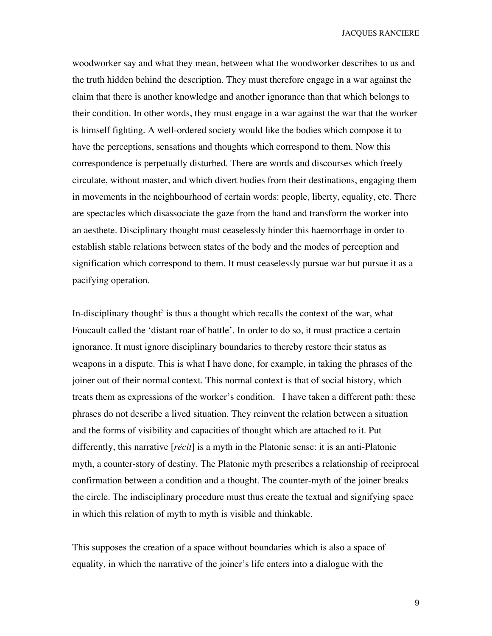woodworker say and what they mean, between what the woodworker describes to us and the truth hidden behind the description. They must therefore engage in a war against the claim that there is another knowledge and another ignorance than that which belongs to their condition. In other words, they must engage in a war against the war that the worker is himself fighting. A well-ordered society would like the bodies which compose it to have the perceptions, sensations and thoughts which correspond to them. Now this correspondence is perpetually disturbed. There are words and discourses which freely circulate, without master, and which divert bodies from their destinations, engaging them in movements in the neighbourhood of certain words: people, liberty, equality, etc. There are spectacles which disassociate the gaze from the hand and transform the worker into an aesthete. Disciplinary thought must ceaselessly hinder this haemorrhage in order to establish stable relations between states of the body and the modes of perception and signification which correspond to them. It must ceaselessly pursue war but pursue it as a pacifying operation.

In-disciplinary thought<sup>5</sup> is thus a thought which recalls the context of the war, what Foucault called the 'distant roar of battle'. In order to do so, it must practice a certain ignorance. It must ignore disciplinary boundaries to thereby restore their status as weapons in a dispute. This is what I have done, for example, in taking the phrases of the joiner out of their normal context. This normal context is that of social history, which treats them as expressions of the worker's condition. I have taken a different path: these phrases do not describe a lived situation. They reinvent the relation between a situation and the forms of visibility and capacities of thought which are attached to it. Put differently, this narrative [*récit*] is a myth in the Platonic sense: it is an anti-Platonic myth, a counter-story of destiny. The Platonic myth prescribes a relationship of reciprocal confirmation between a condition and a thought. The counter-myth of the joiner breaks the circle. The indisciplinary procedure must thus create the textual and signifying space in which this relation of myth to myth is visible and thinkable.

This supposes the creation of a space without boundaries which is also a space of equality, in which the narrative of the joiner's life enters into a dialogue with the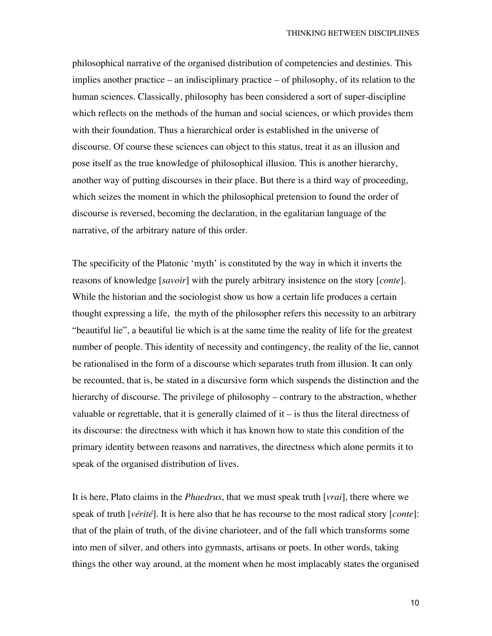philosophical narrative of the organised distribution of competencies and destinies. This implies another practice – an indisciplinary practice – of philosophy, of its relation to the human sciences. Classically, philosophy has been considered a sort of super-discipline which reflects on the methods of the human and social sciences, or which provides them with their foundation. Thus a hierarchical order is established in the universe of discourse. Of course these sciences can object to this status, treat it as an illusion and pose itself as the true knowledge of philosophical illusion. This is another hierarchy, another way of putting discourses in their place. But there is a third way of proceeding, which seizes the moment in which the philosophical pretension to found the order of discourse is reversed, becoming the declaration, in the egalitarian language of the narrative, of the arbitrary nature of this order.

The specificity of the Platonic 'myth' is constituted by the way in which it inverts the reasons of knowledge [*savoir*] with the purely arbitrary insistence on the story [*conte*]. While the historian and the sociologist show us how a certain life produces a certain thought expressing a life, the myth of the philosopher refers this necessity to an arbitrary "beautiful lie", a beautiful lie which is at the same time the reality of life for the greatest number of people. This identity of necessity and contingency, the reality of the lie, cannot be rationalised in the form of a discourse which separates truth from illusion. It can only be recounted, that is, be stated in a discursive form which suspends the distinction and the hierarchy of discourse. The privilege of philosophy – contrary to the abstraction, whether valuable or regrettable, that it is generally claimed of it  $-$  is thus the literal directness of its discourse: the directness with which it has known how to state this condition of the primary identity between reasons and narratives, the directness which alone permits it to speak of the organised distribution of lives.

It is here, Plato claims in the *Phaedrus*, that we must speak truth [*vrai*], there where we speak of truth [*vérité*]. It is here also that he has recourse to the most radical story [*conte*]: that of the plain of truth, of the divine charioteer, and of the fall which transforms some into men of silver, and others into gymnasts, artisans or poets. In other words, taking things the other way around, at the moment when he most implacably states the organised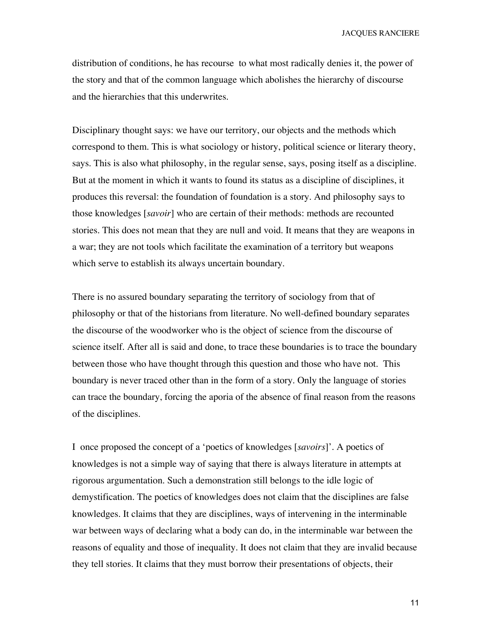distribution of conditions, he has recourse to what most radically denies it, the power of the story and that of the common language which abolishes the hierarchy of discourse and the hierarchies that this underwrites.

Disciplinary thought says: we have our territory, our objects and the methods which correspond to them. This is what sociology or history, political science or literary theory, says. This is also what philosophy, in the regular sense, says, posing itself as a discipline. But at the moment in which it wants to found its status as a discipline of disciplines, it produces this reversal: the foundation of foundation is a story. And philosophy says to those knowledges [*savoir*] who are certain of their methods: methods are recounted stories. This does not mean that they are null and void. It means that they are weapons in a war; they are not tools which facilitate the examination of a territory but weapons which serve to establish its always uncertain boundary.

There is no assured boundary separating the territory of sociology from that of philosophy or that of the historians from literature. No well-defined boundary separates the discourse of the woodworker who is the object of science from the discourse of science itself. After all is said and done, to trace these boundaries is to trace the boundary between those who have thought through this question and those who have not. This boundary is never traced other than in the form of a story. Only the language of stories can trace the boundary, forcing the aporia of the absence of final reason from the reasons of the disciplines.

I once proposed the concept of a 'poetics of knowledges [*savoirs*]'. A poetics of knowledges is not a simple way of saying that there is always literature in attempts at rigorous argumentation. Such a demonstration still belongs to the idle logic of demystification. The poetics of knowledges does not claim that the disciplines are false knowledges. It claims that they are disciplines, ways of intervening in the interminable war between ways of declaring what a body can do, in the interminable war between the reasons of equality and those of inequality. It does not claim that they are invalid because they tell stories. It claims that they must borrow their presentations of objects, their